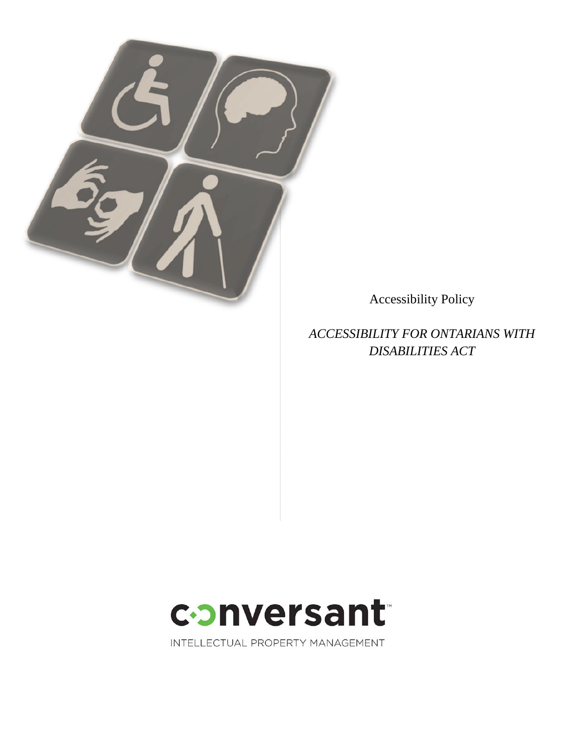

Accessibility Policy

*ACCESSIBILITY FOR ONTARIANS WITH DISABILITIES ACT*



INTELLECTUAL PROPERTY MANAGEMENT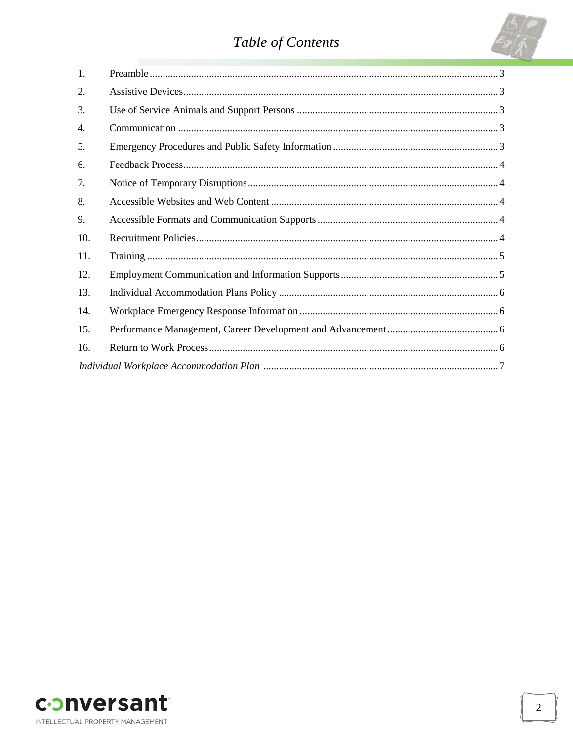# Table of Contents



| 1.  |  |
|-----|--|
| 2.  |  |
| 3.  |  |
| 4.  |  |
| 5.  |  |
| 6.  |  |
| 7.  |  |
| 8.  |  |
| 9.  |  |
| 10. |  |
| 11. |  |
| 12. |  |
| 13. |  |
| 14. |  |
| 15. |  |
| 16. |  |
|     |  |

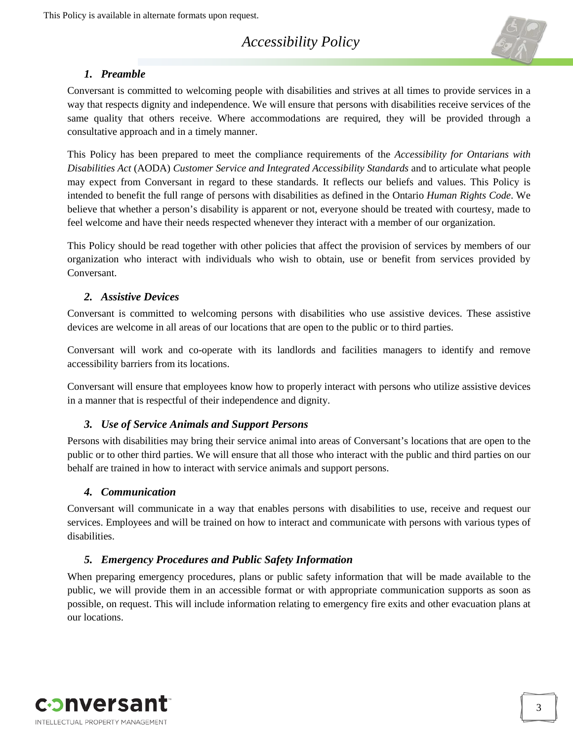## *Accessibility Policy*



## *1. Preamble*

<span id="page-2-5"></span><span id="page-2-0"></span>Conversant is committed to welcoming people with disabilities and strives at all times to provide services in a way that respects dignity and independence. We will ensure that persons with disabilities receive services of the same quality that others receive. Where accommodations are required, they will be provided through a consultative approach and in a timely manner.

This Policy has been prepared to meet the compliance requirements of the *Accessibility for Ontarians with Disabilities Act* (AODA) *Customer Service and Integrated Accessibility Standards* and to articulate what people may expect from Conversant in regard to these standards. It reflects our beliefs and values. This Policy is intended to benefit the full range of persons with disabilities as defined in the Ontario *Human Rights Code*. We believe that whether a person's disability is apparent or not, everyone should be treated with courtesy, made to feel welcome and have their needs respected whenever they interact with a member of our organization.

This Policy should be read together with other policies that affect the provision of services by members of our organization who interact with individuals who wish to obtain, use or benefit from services provided by Conversant.

#### *2. Assistive Devices*

<span id="page-2-1"></span>Conversant is committed to welcoming persons with disabilities who use assistive devices. These assistive devices are welcome in all areas of our locations that are open to the public or to third parties.

Conversant will work and co-operate with its landlords and facilities managers to identify and remove accessibility barriers from its locations.

Conversant will ensure that employees know how to properly interact with persons who utilize assistive devices in a manner that is respectful of their independence and dignity.

#### <span id="page-2-2"></span>*3. Use of Service Animals and Support Persons*

Persons with disabilities may bring their service animal into areas of Conversant's locations that are open to the public or to other third parties. We will ensure that all those who interact with the public and third parties on our behalf are trained in how to interact with service animals and support persons.

#### *4. Communication*

<span id="page-2-3"></span>Conversant will communicate in a way that enables persons with disabilities to use, receive and request our services. Employees and will be trained on how to interact and communicate with persons with various types of disabilities.

## <span id="page-2-4"></span>*5. Emergency Procedures and Public Safety Information*

When preparing emergency procedures, plans or public safety information that will be made available to the public, we will provide them in an accessible format or with appropriate communication supports as soon as possible, on request. This will include information relating to emergency fire exits and other evacuation plans at our locations.

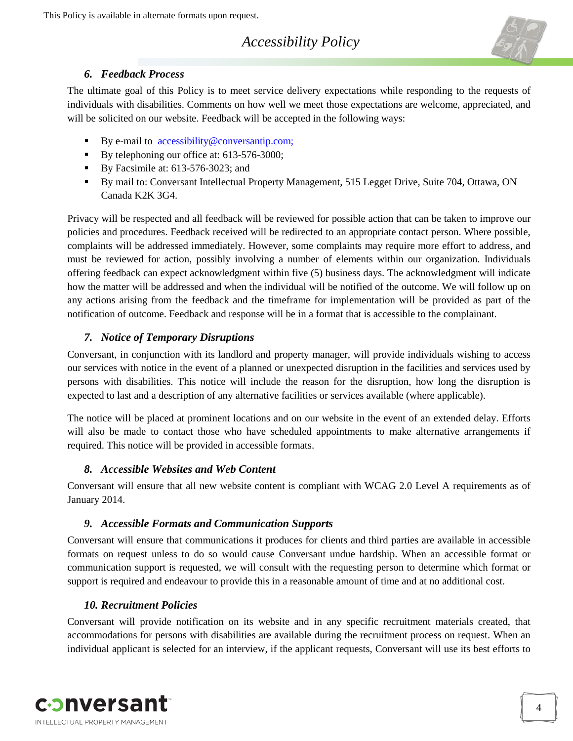## *Accessibility Policy*



## *6. Feedback Process*

<span id="page-3-0"></span>The ultimate goal of this Policy is to meet service delivery expectations while responding to the requests of individuals with disabilities. Comments on how well we meet those expectations are welcome, appreciated, and will be solicited on our website. Feedback will be accepted in the following ways:

- By e-mail to  $\arccosibility@conversion$ ;com;
- By telephoning our office at: 613-576-3000;
- By Facsimile at: 613-576-3023; and
- By mail to: Conversant Intellectual Property Management, 515 Legget Drive, Suite 704, Ottawa, ON Canada K2K 3G4.

Privacy will be respected and all feedback will be reviewed for possible action that can be taken to improve our policies and procedures. Feedback received will be redirected to an appropriate contact person. Where possible, complaints will be addressed immediately. However, some complaints may require more effort to address, and must be reviewed for action, possibly involving a number of elements within our organization. Individuals offering feedback can expect acknowledgment within five (5) business days. The acknowledgment will indicate how the matter will be addressed and when the individual will be notified of the outcome. We will follow up on any actions arising from the feedback and the timeframe for implementation will be provided as part of the notification of outcome. Feedback and response will be in a format that is accessible to the complainant.

## *7. Notice of Temporary Disruptions*

<span id="page-3-1"></span>Conversant, in conjunction with its landlord and property manager, will provide individuals wishing to access our services with notice in the event of a planned or unexpected disruption in the facilities and services used by persons with disabilities. This notice will include the reason for the disruption, how long the disruption is expected to last and a description of any alternative facilities or services available (where applicable).

The notice will be placed at prominent locations and on our website in the event of an extended delay. Efforts will also be made to contact those who have scheduled appointments to make alternative arrangements if required. This notice will be provided in accessible formats.

## *8. Accessible Websites and Web Content*

<span id="page-3-2"></span>[Conversant](#page-2-5) will ensure that all new website content is compliant with WCAG 2.0 Level A requirements as of January 2014.

## *9. Accessible Formats and Communication Supports*

<span id="page-3-3"></span>[Conversant](#page-2-5) will ensure that communications it produces for clients and third parties are available in accessible formats on request unless to do so would cause [Conversant](#page-2-5) undue hardship. When an accessible format or communication support is requested, we will consult with the requesting person to determine which format or support is required and endeavour to provide this in a reasonable amount of time and at no additional cost.

## *10. Recruitment Policies*

<span id="page-3-4"></span>Conversant will provide notification on its website and in any specific recruitment materials created, that accommodations for persons with disabilities are available during the recruitment process on request. When an individual applicant is selected for an interview, if the applicant requests, Conversant will use its best efforts to

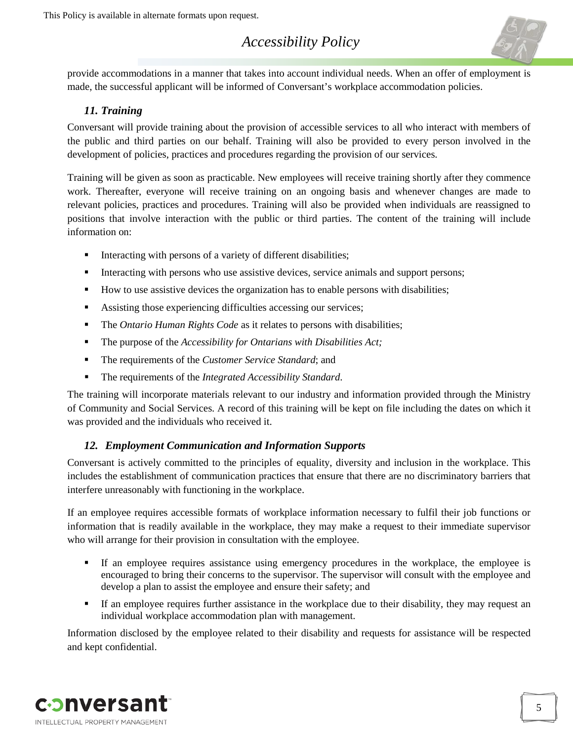# *Accessibility Policy*



provide accommodations in a manner that takes into account individual needs. When an offer of employment is made, the successful applicant will be informed of Conversant's workplace accommodation policies.

## *11. Training*

<span id="page-4-0"></span>Conversant will provide training about the provision of accessible services to all who interact with members of the public and third parties on our behalf. Training will also be provided to every person involved in the development of policies, practices and procedures regarding the provision of our services.

Training will be given as soon as practicable. New employees will receive training shortly after they commence work. Thereafter, everyone will receive training on an ongoing basis and whenever changes are made to relevant policies, practices and procedures. Training will also be provided when individuals are reassigned to positions that involve interaction with the public or third parties. The content of the training will include information on:

- Interacting with persons of a variety of different disabilities;
- Interacting with persons who use assistive devices, service animals and support persons;
- How to use assistive devices the organization has to enable persons with disabilities;
- Assisting those experiencing difficulties accessing our services;
- **The** *Ontario Human Rights Code* as it relates to persons with disabilities;
- The purpose of the *Accessibility for Ontarians with Disabilities Act*;
- The requirements of the *Customer Service Standard*; and
- The requirements of the *Integrated Accessibility Standard*.

The training will incorporate materials relevant to our industry and information provided through the Ministry of Community and Social Services. A record of this training will be kept on file including the dates on which it was provided and the individuals who received it.

## *12. Employment Communication and Information Supports*

<span id="page-4-1"></span>Conversant is actively committed to the principles of equality, diversity and inclusion in the workplace. This includes the establishment of communication practices that ensure that there are no discriminatory barriers that interfere unreasonably with functioning in the workplace.

If an employee requires accessible formats of workplace information necessary to fulfil their job functions or information that is readily available in the workplace, they may make a request to their immediate supervisor who will arrange for their provision in consultation with the employee.

- If an employee requires assistance using emergency procedures in the workplace, the employee is encouraged to bring their concerns to the supervisor. The supervisor will consult with the employee and develop a plan to assist the employee and ensure their safety; and
- If an employee requires further assistance in the workplace due to their disability, they may request an individual workplace accommodation plan with management.

Information disclosed by the employee related to their disability and requests for assistance will be respected and kept confidential.

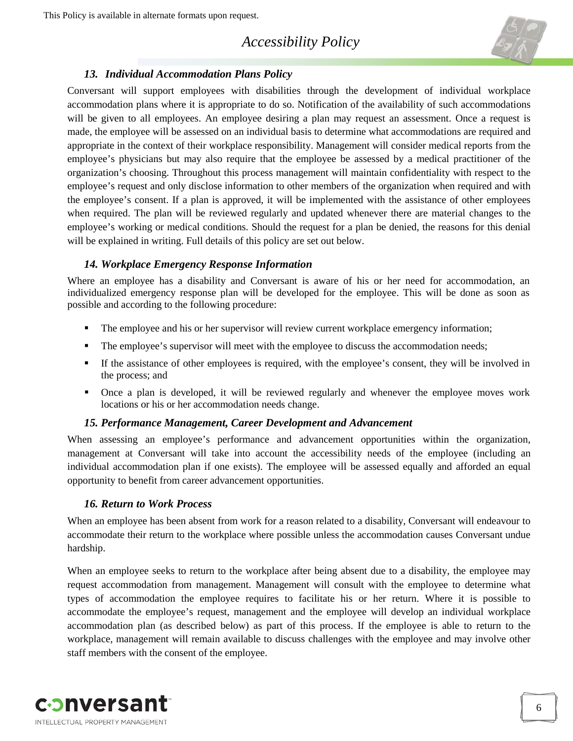## *Accessibility Policy*



## <span id="page-5-0"></span>*13. Individual Accommodation Plans Policy*

Conversant will support employees with disabilities through the development of individual workplace accommodation plans where it is appropriate to do so. Notification of the availability of such accommodations will be given to all employees. An employee desiring a plan may request an assessment. Once a request is made, the employee will be assessed on an individual basis to determine what accommodations are required and appropriate in the context of their workplace responsibility. Management will consider medical reports from the employee's physicians but may also require that the employee be assessed by a medical practitioner of the organization's choosing. Throughout this process management will maintain confidentiality with respect to the employee's request and only disclose information to other members of the organization when required and with the employee's consent. If a plan is approved, it will be implemented with the assistance of other employees when required. The plan will be reviewed regularly and updated whenever there are material changes to the employee's working or medical conditions. Should the request for a plan be denied, the reasons for this denial will be explained in writing. Full details of this policy are set out below.

#### *14. Workplace Emergency Response Information*

<span id="page-5-1"></span>Where an employee has a disability and Conversant is aware of his or her need for accommodation, an individualized emergency response plan will be developed for the employee. This will be done as soon as possible and according to the following procedure:

- The employee and his or her supervisor will review current workplace emergency information;
- The employee's supervisor will meet with the employee to discuss the accommodation needs;
- If the assistance of other employees is required, with the employee's consent, they will be involved in the process; and
- Once a plan is developed, it will be reviewed regularly and whenever the employee moves work locations or his or her accommodation needs change.

#### *15. Performance Management, Career Development and Advancement*

<span id="page-5-2"></span>When assessing an employee's performance and advancement opportunities within the organization, management at Conversant will take into account the accessibility needs of the employee (including an individual accommodation plan if one exists). The employee will be assessed equally and afforded an equal opportunity to benefit from career advancement opportunities.

#### *16. Return to Work Process*

<span id="page-5-3"></span>When an employee has been absent from work for a reason related to a disability, Conversant will endeavour to accommodate their return to the workplace where possible unless the accommodation causes Conversant undue hardship.

When an employee seeks to return to the workplace after being absent due to a disability, the employee may request accommodation from management. Management will consult with the employee to determine what types of accommodation the employee requires to facilitate his or her return. Where it is possible to accommodate the employee's request, management and the employee will develop an individual workplace accommodation plan (as described below) as part of this process. If the employee is able to return to the workplace, management will remain available to discuss challenges with the employee and may involve other staff members with the consent of the employee.

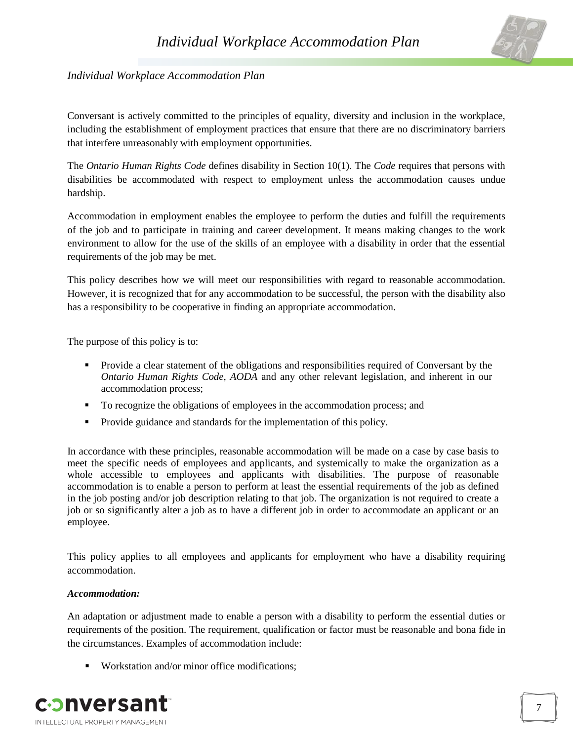

## <span id="page-6-0"></span>**Individual Workplace Accommodation Plan**

Conversant is actively committed to the principles of equality, diversity and inclusion in the workplace, including the establishment of employment practices that ensure that there are no discriminatory barriers that interfere unreasonably with employment opportunities.

The *Ontario Human Rights Code* defines disability in Section 10(1). The *Code* requires that persons with disabilities be accommodated with respect to employment unless the accommodation causes undue hardship.

Accommodation in employment enables the employee to perform the duties and fulfill the requirements of the job and to participate in training and career development. It means making changes to the work environment to allow for the use of the skills of an employee with a disability in order that the essential requirements of the job may be met.

This policy describes how we will meet our responsibilities with regard to reasonable accommodation. However, it is recognized that for any accommodation to be successful, the person with the disability also has a responsibility to be cooperative in finding an appropriate accommodation.

The purpose of this policy is to:

- **Provide a clear statement of the obligations and responsibilities required of Conversant by the** *Ontario Human Rights Code, AODA* and any other relevant legislation, and inherent in our accommodation process;
- To recognize the obligations of employees in the accommodation process; and
- Provide guidance and standards for the implementation of this policy.

In accordance with these principles, reasonable accommodation will be made on a case by case basis to meet the specific needs of employees and applicants, and systemically to make the organization as a whole accessible to employees and applicants with disabilities. The purpose of reasonable accommodation is to enable a person to perform at least the essential requirements of the job as defined in the job posting and/or job description relating to that job. The organization is not required to create a job or so significantly alter a job as to have a different job in order to accommodate an applicant or an employee.

This policy applies to all employees and applicants for employment who have a disability requiring accommodation.

#### *Accommodation:*

An adaptation or adjustment made to enable a person with a disability to perform the essential duties or requirements of the position. The requirement, qualification or factor must be reasonable and bona fide in the circumstances. Examples of accommodation include:

■ Workstation and/or minor office modifications:

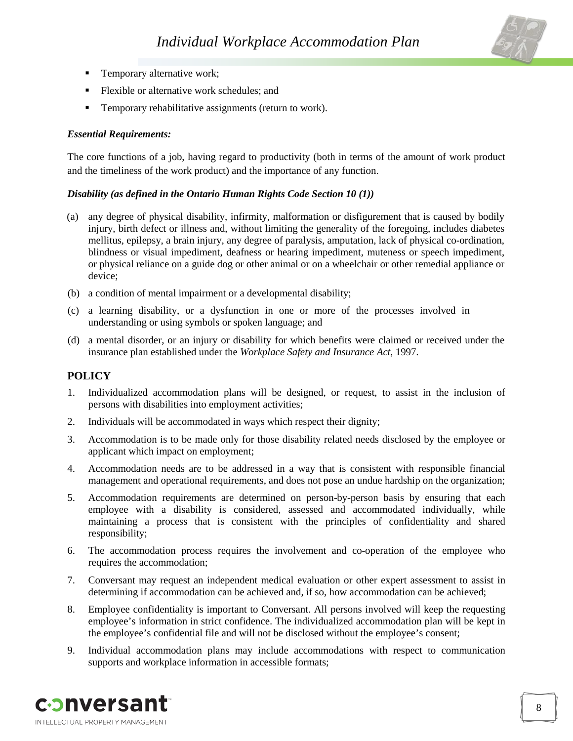

- **Temporary alternative work;**
- Flexible or alternative work schedules; and
- **Temporary rehabilitative assignments (return to work).**

#### *Essential Requirements:*

The core functions of a job, having regard to productivity (both in terms of the amount of work product and the timeliness of the work product) and the importance of any function.

#### *Disability (as defined in the Ontario Human Rights Code Section 10 (1))*

- (a) any degree of physical disability, infirmity, malformation or disfigurement that is caused by bodily injury, birth defect or illness and, without limiting the generality of the foregoing, includes diabetes mellitus, epilepsy, a brain injury, any degree of paralysis, amputation, lack of physical co-ordination, blindness or visual impediment, deafness or hearing impediment, muteness or speech impediment, or physical reliance on a guide dog or other animal or on a wheelchair or other remedial appliance or device;
- (b) a condition of mental impairment or a developmental disability;
- (c) a learning disability, or a dysfunction in one or more of the processes involved in understanding or using symbols or spoken language; and
- (d) a mental disorder, or an injury or disability for which benefits were claimed or received under the insurance plan established under the *Workplace Safety and Insurance Act*, 1997.

#### **POLICY**

- 1. Individualized accommodation plans will be designed, or request, to assist in the inclusion of persons with disabilities into employment activities;
- 2. Individuals will be accommodated in ways which respect their dignity;
- 3. Accommodation is to be made only for those disability related needs disclosed by the employee or applicant which impact on employment;
- 4. Accommodation needs are to be addressed in a way that is consistent with responsible financial management and operational requirements, and does not pose an undue hardship on the organization;
- 5. Accommodation requirements are determined on person-by-person basis by ensuring that each employee with a disability is considered, assessed and accommodated individually, while maintaining a process that is consistent with the principles of confidentiality and shared responsibility;
- 6. The accommodation process requires the involvement and co-operation of the employee who requires the accommodation;
- 7. Conversant may request an independent medical evaluation or other expert assessment to assist in determining if accommodation can be achieved and, if so, how accommodation can be achieved;
- 8. Employee confidentiality is important to Conversant. All persons involved will keep the requesting employee's information in strict confidence. The individualized accommodation plan will be kept in the employee's confidential file and will not be disclosed without the employee's consent;
- 9. Individual accommodation plans may include accommodations with respect to communication supports and workplace information in accessible formats;